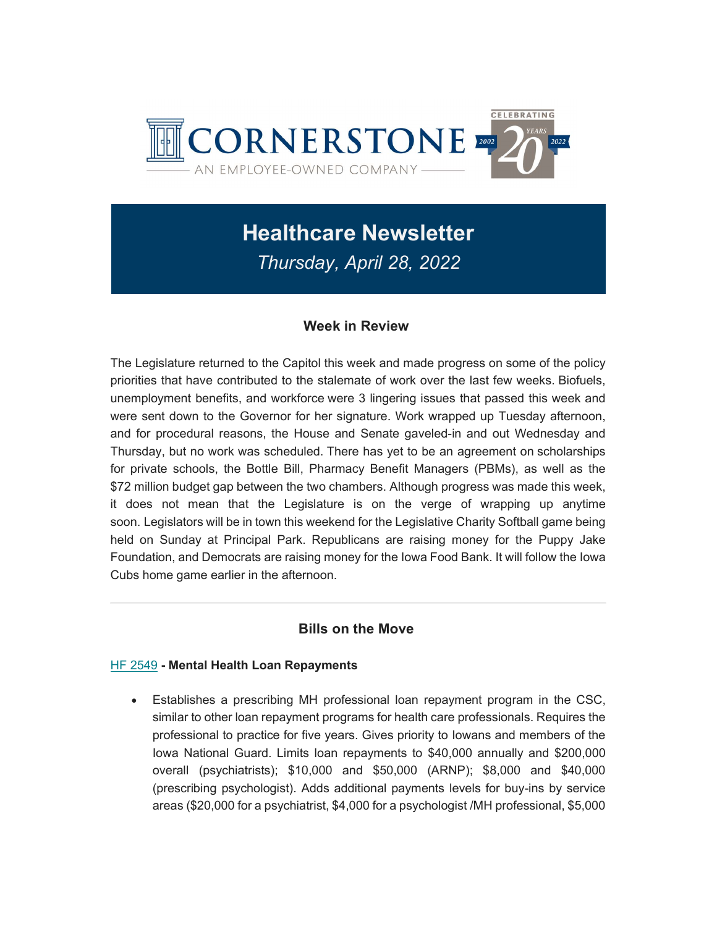

# Healthcare Newsletter Thursday, April 28, 2022

# Week in Review

The Legislature returned to the Capitol this week and made progress on some of the policy priorities that have contributed to the stalemate of work over the last few weeks. Biofuels, unemployment benefits, and workforce were 3 lingering issues that passed this week and were sent down to the Governor for her signature. Work wrapped up Tuesday afternoon, and for procedural reasons, the House and Senate gaveled-in and out Wednesday and Thursday, but no work was scheduled. There has yet to be an agreement on scholarships for private schools, the Bottle Bill, Pharmacy Benefit Managers (PBMs), as well as the \$72 million budget gap between the two chambers. Although progress was made this week, it does not mean that the Legislature is on the verge of wrapping up anytime soon. Legislators will be in town this weekend for the Legislative Charity Softball game being held on Sunday at Principal Park. Republicans are raising money for the Puppy Jake Foundation, and Democrats are raising money for the Iowa Food Bank. It will follow the Iowa Cubs home game earlier in the afternoon.

# Bills on the Move

#### HF 2549 - Mental Health Loan Repayments

 Establishes a prescribing MH professional loan repayment program in the CSC, similar to other loan repayment programs for health care professionals. Requires the professional to practice for five years. Gives priority to Iowans and members of the Iowa National Guard. Limits loan repayments to \$40,000 annually and \$200,000 overall (psychiatrists); \$10,000 and \$50,000 (ARNP); \$8,000 and \$40,000 (prescribing psychologist). Adds additional payments levels for buy-ins by service areas (\$20,000 for a psychiatrist, \$4,000 for a psychologist /MH professional, \$5,000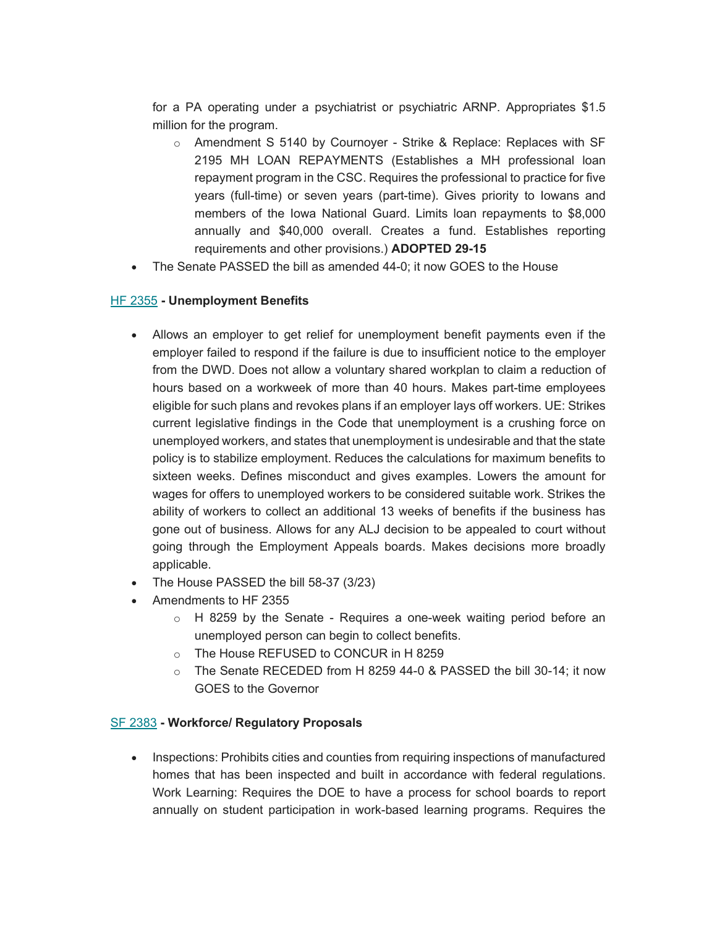for a PA operating under a psychiatrist or psychiatric ARNP. Appropriates \$1.5 million for the program.

- $\circ$  Amendment S 5140 by Cournoyer Strike & Replace: Replaces with SF 2195 MH LOAN REPAYMENTS (Establishes a MH professional loan repayment program in the CSC. Requires the professional to practice for five years (full-time) or seven years (part-time). Gives priority to Iowans and members of the Iowa National Guard. Limits loan repayments to \$8,000 annually and \$40,000 overall. Creates a fund. Establishes reporting requirements and other provisions.) ADOPTED 29-15
- The Senate PASSED the bill as amended 44-0; it now GOES to the House

#### HF 2355 - Unemployment Benefits

- Allows an employer to get relief for unemployment benefit payments even if the employer failed to respond if the failure is due to insufficient notice to the employer from the DWD. Does not allow a voluntary shared workplan to claim a reduction of hours based on a workweek of more than 40 hours. Makes part-time employees eligible for such plans and revokes plans if an employer lays off workers. UE: Strikes current legislative findings in the Code that unemployment is a crushing force on unemployed workers, and states that unemployment is undesirable and that the state policy is to stabilize employment. Reduces the calculations for maximum benefits to sixteen weeks. Defines misconduct and gives examples. Lowers the amount for wages for offers to unemployed workers to be considered suitable work. Strikes the ability of workers to collect an additional 13 weeks of benefits if the business has gone out of business. Allows for any ALJ decision to be appealed to court without going through the Employment Appeals boards. Makes decisions more broadly applicable.
- The House PASSED the bill 58-37 (3/23)
- Amendments to HF 2355
	- o H 8259 by the Senate Requires a one-week waiting period before an unemployed person can begin to collect benefits.
	- o The House REFUSED to CONCUR in H 8259
	- $\circ$  The Senate RECEDED from H 8259 44-0 & PASSED the bill 30-14; it now GOES to the Governor

#### SF 2383 - Workforce/ Regulatory Proposals

• Inspections: Prohibits cities and counties from requiring inspections of manufactured homes that has been inspected and built in accordance with federal regulations. Work Learning: Requires the DOE to have a process for school boards to report annually on student participation in work-based learning programs. Requires the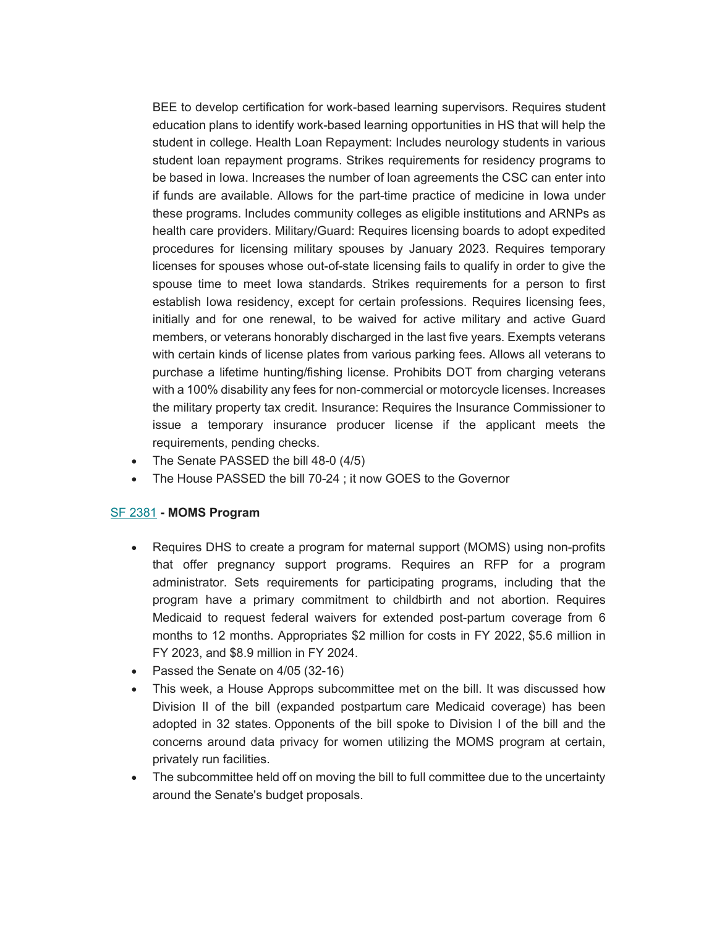BEE to develop certification for work-based learning supervisors. Requires student education plans to identify work-based learning opportunities in HS that will help the student in college. Health Loan Repayment: Includes neurology students in various student loan repayment programs. Strikes requirements for residency programs to be based in Iowa. Increases the number of loan agreements the CSC can enter into if funds are available. Allows for the part-time practice of medicine in Iowa under these programs. Includes community colleges as eligible institutions and ARNPs as health care providers. Military/Guard: Requires licensing boards to adopt expedited procedures for licensing military spouses by January 2023. Requires temporary licenses for spouses whose out-of-state licensing fails to qualify in order to give the spouse time to meet Iowa standards. Strikes requirements for a person to first establish Iowa residency, except for certain professions. Requires licensing fees, initially and for one renewal, to be waived for active military and active Guard members, or veterans honorably discharged in the last five years. Exempts veterans with certain kinds of license plates from various parking fees. Allows all veterans to purchase a lifetime hunting/fishing license. Prohibits DOT from charging veterans with a 100% disability any fees for non-commercial or motorcycle licenses. Increases the military property tax credit. Insurance: Requires the Insurance Commissioner to issue a temporary insurance producer license if the applicant meets the requirements, pending checks.

- The Senate PASSED the bill 48-0 (4/5)
- The House PASSED the bill 70-24 ; it now GOES to the Governor

#### SF 2381 - MOMS Program

- Requires DHS to create a program for maternal support (MOMS) using non-profits that offer pregnancy support programs. Requires an RFP for a program administrator. Sets requirements for participating programs, including that the program have a primary commitment to childbirth and not abortion. Requires Medicaid to request federal waivers for extended post-partum coverage from 6 months to 12 months. Appropriates \$2 million for costs in FY 2022, \$5.6 million in FY 2023, and \$8.9 million in FY 2024.
- Passed the Senate on 4/05 (32-16)
- This week, a House Approps subcommittee met on the bill. It was discussed how Division II of the bill (expanded postpartum care Medicaid coverage) has been adopted in 32 states. Opponents of the bill spoke to Division I of the bill and the concerns around data privacy for women utilizing the MOMS program at certain, privately run facilities.
- The subcommittee held off on moving the bill to full committee due to the uncertainty around the Senate's budget proposals.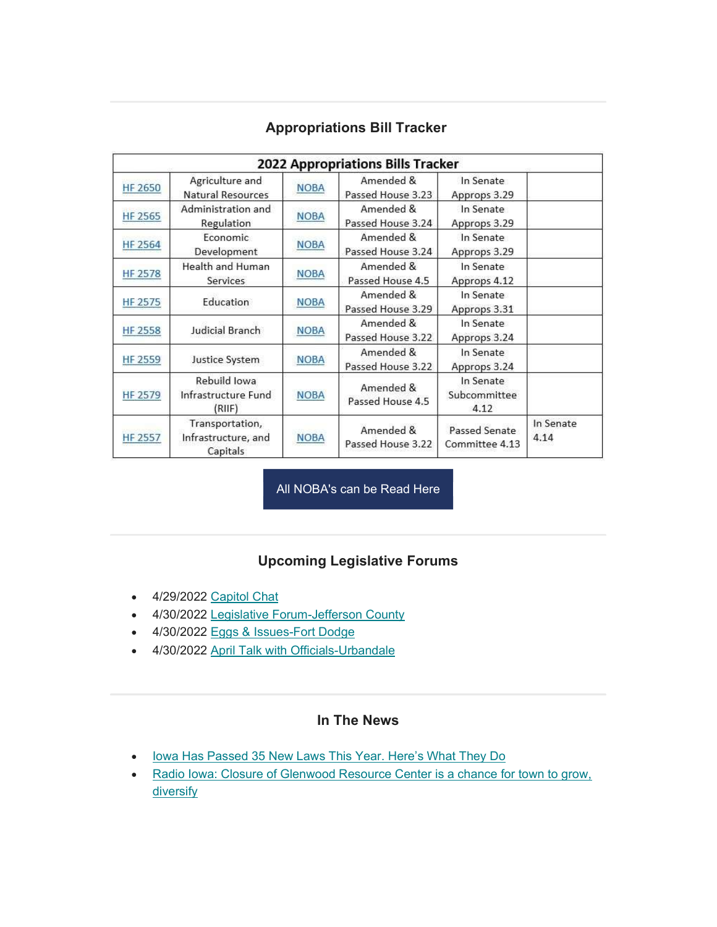| 2022 Appropriations Bills Tracker |                                                    |             |                                |                                   |                   |
|-----------------------------------|----------------------------------------------------|-------------|--------------------------------|-----------------------------------|-------------------|
| <b>HF 2650</b>                    | Agriculture and<br>Natural Resources               | <b>NOBA</b> | Amended &<br>Passed House 3.23 | In Senate<br>Approps 3.29         |                   |
| <b>HF 2565</b>                    | Administration and<br>Regulation                   | <b>NOBA</b> | Amended &<br>Passed House 3.24 | In Senate<br>Approps 3.29         |                   |
| <b>HF 2564</b>                    | Economic<br>Development                            | <b>NOBA</b> | Amended &<br>Passed House 3.24 | In Senate<br>Approps 3.29         |                   |
| <b>HF 2578</b>                    | Health and Human<br>Services                       | <b>NOBA</b> | Amended &<br>Passed House 4.5  | In Senate<br>Approps 4.12         |                   |
| HF 2575                           | Education                                          | <b>NOBA</b> | Amended &<br>Passed House 3.29 | In Senate<br>Approps 3.31         |                   |
| <b>HF 2558</b>                    | Judicial Branch                                    | <b>NOBA</b> | Amended &<br>Passed House 3.22 | In Senate<br>Approps 3.24         |                   |
| <b>HF 2559</b>                    | Justice System                                     | <b>NOBA</b> | Amended &<br>Passed House 3.22 | In Senate<br>Approps 3.24         |                   |
| <b>HF 2579</b>                    | Rebuild Iowa<br>Infrastructure Fund<br>(RIIF)      | <b>NOBA</b> | Amended &<br>Passed House 4.5  | In Senate<br>Subcommittee<br>4.12 |                   |
| HF 2557                           | Transportation,<br>Infrastructure, and<br>Capitals | <b>NOBA</b> | Amended &<br>Passed House 3.22 | Passed Senate<br>Committee 4.13   | In Senate<br>4.14 |

# Appropriations Bill Tracker

All NOBA's can be Read Here

# Upcoming Legislative Forums

- 4/29/2022 Capitol Chat
- 4/30/2022 Legislative Forum-Jefferson County
- 4/30/2022 Eggs & Issues-Fort Dodge
- 4/30/2022 April Talk with Officials-Urbandale

### In The News

- lowa Has Passed 35 New Laws This Year. Here's What They Do
- Radio Iowa: Closure of Glenwood Resource Center is a chance for town to grow, **diversify**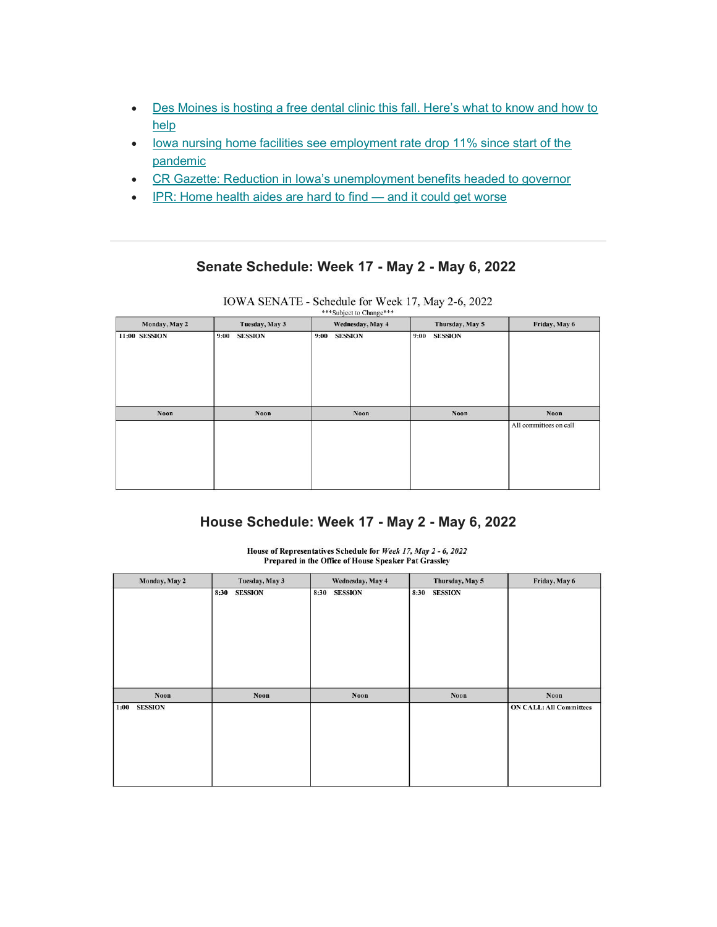- Des Moines is hosting a free dental clinic this fall. Here's what to know and how to help
- lowa nursing home facilities see employment rate drop 11% since start of the pandemic
- CR Gazette: Reduction in Iowa's unemployment benefits headed to governor
- IPR: Home health aides are hard to find and it could get worse

#### Senate Schedule: Week 17 - May 2 - May 6, 2022

| Monday, May 2 | Tuesday, May 3         | Wednesday, May 4       | Thursday, May 5        | Friday, May 6          |
|---------------|------------------------|------------------------|------------------------|------------------------|
| 11:00 SESSION | <b>SESSION</b><br>9:00 | <b>SESSION</b><br>9:00 | <b>SESSION</b><br>9:00 |                        |
| Noon          | <b>Noon</b>            | Noon                   | Noon                   | Noon                   |
|               |                        |                        |                        | All committees on call |

IOWA SENATE - Schedule for Week 17, May 2-6, 2022 \*\*\*Subject to Change\*\*\*

# House Schedule: Week 17 - May 2 - May 6, 2022

House of Representatives Schedule for Week 17, May 2 - 6, 2022 Prepared in the Office of House Speaker Pat Grassley

| Monday, May 2          | Tuesday, May 3         | Wednesday, May 4       | Thursday, May 5        | Friday, May 6                  |
|------------------------|------------------------|------------------------|------------------------|--------------------------------|
|                        | 8:30<br><b>SESSION</b> | <b>SESSION</b><br>8:30 | 8:30<br><b>SESSION</b> |                                |
| <b>Noon</b>            | Noon                   | Noon                   | <b>Noon</b>            | <b>Noon</b>                    |
| <b>SESSION</b><br>1:00 |                        |                        |                        | <b>ON CALL: All Committees</b> |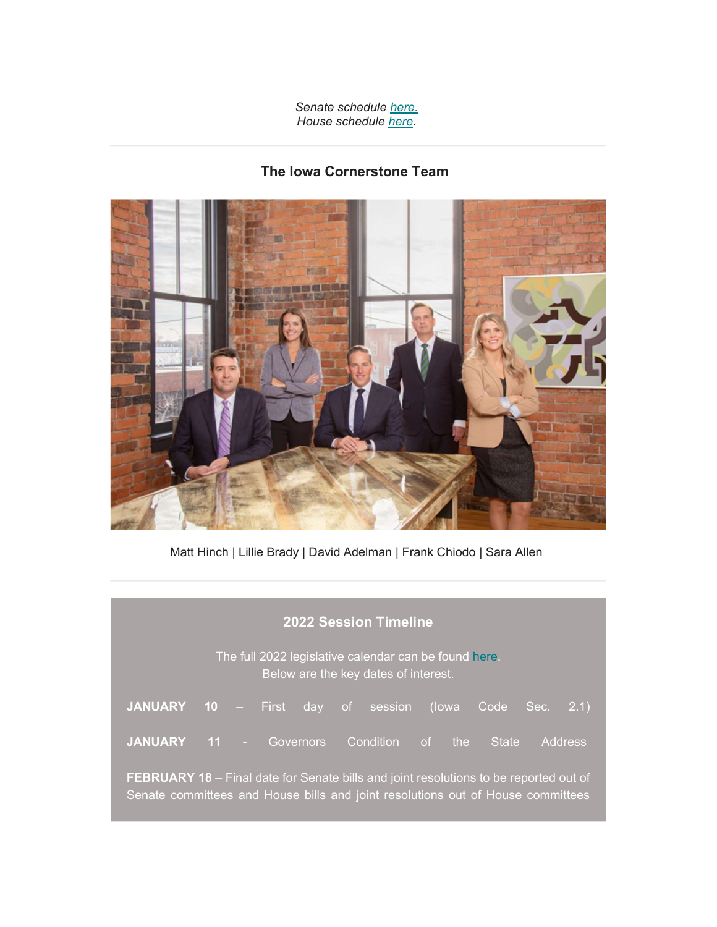Senate schedule here. House schedule here.

# The Iowa Cornerstone Team



Matt Hinch | Lillie Brady | David Adelman | Frank Chiodo | Sara Allen

| <b>2022 Session Timeline</b>                                                                                                                                                    |              |                |                |       |                                |  |
|---------------------------------------------------------------------------------------------------------------------------------------------------------------------------------|--------------|----------------|----------------|-------|--------------------------------|--|
| The full 2022 legislative calendar can be found here.<br>Below are the key dates of interest.                                                                                   |              |                |                |       |                                |  |
| <b>JANUARY</b>                                                                                                                                                                  | $10 -$ First |                | day of session | (lowa | Code<br>Sec.<br>(2.1)          |  |
| <b>JANUARY</b>                                                                                                                                                                  |              | 11 - Governors | Condition of   | the   | <b>Address</b><br><b>State</b> |  |
| <b>FEBRUARY 18</b> – Final date for Senate bills and joint resolutions to be reported out of<br>Senate committees and House bills and joint resolutions out of House committees |              |                |                |       |                                |  |